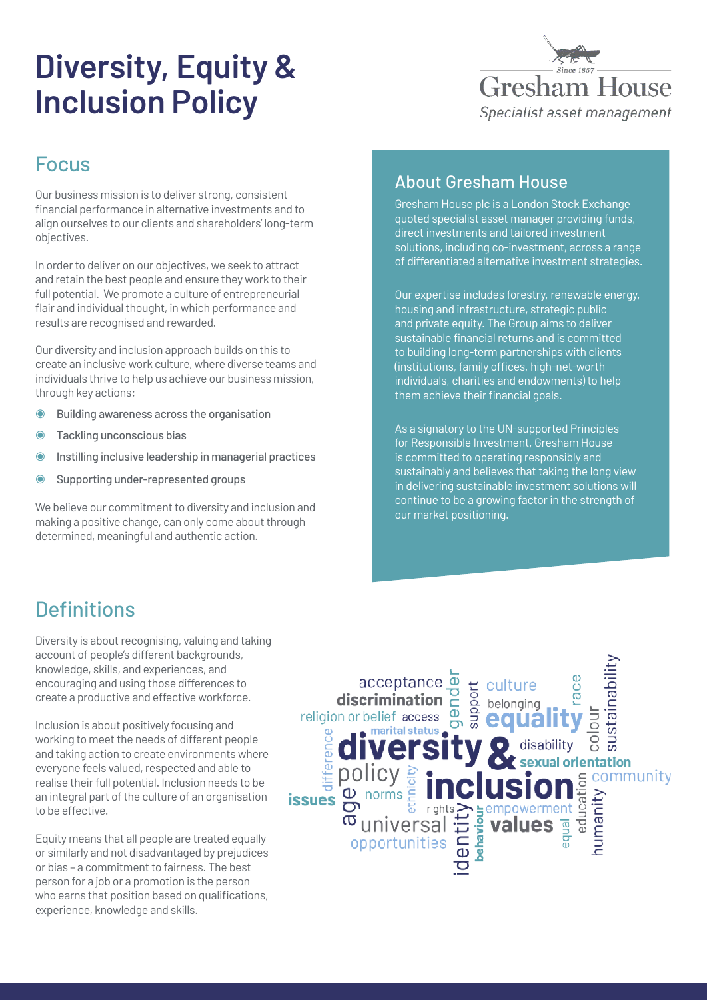# **Diversity, Equity & Inclusion Policy**



#### Focus

Our business mission is to deliver strong, consistent financial performance in alternative investments and to align ourselves to our clients and shareholders' long-term objectives.

In order to deliver on our objectives, we seek to attract and retain the best people and ensure they work to their full potential. We promote a culture of entrepreneurial flair and individual thought, in which performance and results are recognised and rewarded.

Our diversity and inclusion approach builds on this to create an inclusive work culture, where diverse teams and individuals thrive to help us achieve our business mission, through key actions:

- ◉ Building awareness across the organisation
- ◉ Tackling unconscious bias
- Instilling inclusive leadership in managerial practices
- ◉ Supporting under-represented groups

We believe our commitment to diversity and inclusion and making a positive change, can only come about through determined, meaningful and authentic action.

#### About Gresham House

Gresham House plc is a London Stock Exchange quoted specialist asset manager providing funds, direct investments and tailored investment solutions, including co-investment, across a range of differentiated alternative investment strategies.

Our expertise includes forestry, renewable energy, housing and infrastructure, strategic public and private equity. The Group aims to deliver sustainable financial returns and is committed to building long-term partnerships with clients (institutions, family offices, high-net-worth individuals, charities and endowments) to help them achieve their financial goals.

As a signatory to the UN-supported Principles for Responsible Investment, Gresham House is committed to operating responsibly and sustainably and believes that taking the long view in delivering sustainable investment solutions will continue to be a growing factor in the strength of our market positioning.

### **Definitions**

Diversity is about recognising, valuing and taking account of people's different backgrounds, knowledge, skills, and experiences, and encouraging and using those differences to create a productive and effective workforce.

Inclusion is about positively focusing and working to meet the needs of different people and taking action to create environments where everyone feels valued, respected and able to realise their full potential. Inclusion needs to be an integral part of the culture of an organisation to be effective.

Equity means that all people are treated equally or similarly and not disadvantaged by prejudices or bias – a commitment to fairness. The best person for a job or a promotion is the person who earns that position based on qualifications, experience, knowledge and skills.